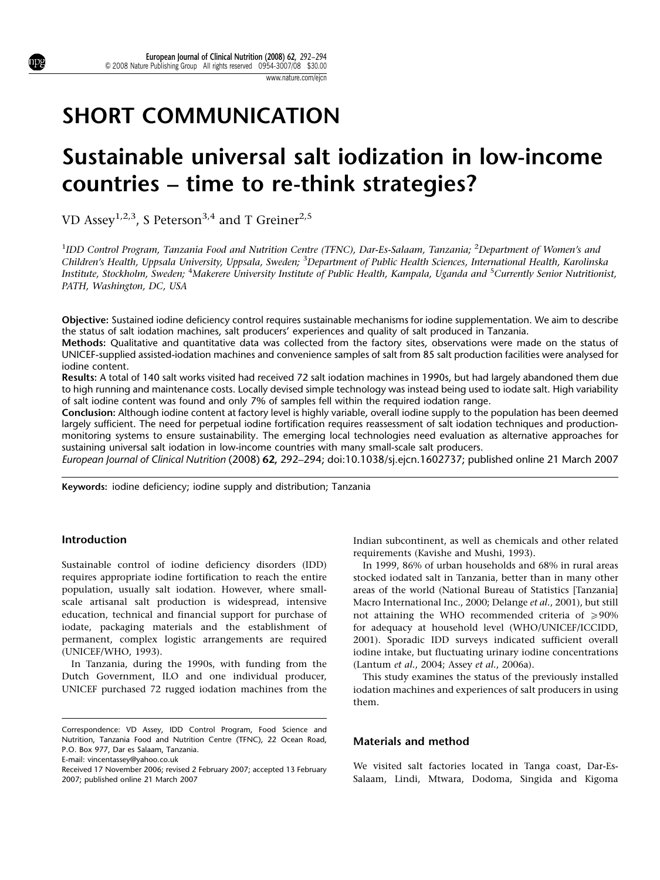# SHORT COMMUNICATION

# Sustainable universal salt iodization in low-income countries – time to re-think strategies?

VD Assey<sup>1,2,3</sup>, S Peterson<sup>3,4</sup> and T Greiner<sup>2,5</sup>

<sup>1</sup>IDD Control Program, Tanzania Food and Nutrition Centre (TFNC), Dar-Es-Salaam, Tanzania; <sup>2</sup>Department of Women's and Children's Health, Uppsala University, Uppsala, Sweden; <sup>3</sup>Department of Public Health Sciences, International Health, Karolinska Institute, Stockholm, Sweden; <sup>4</sup>Makerere University Institute of Public Health, Kampala, Uganda and <sup>5</sup>Currently Senior Nutritionist, PATH, Washington, DC, USA

Objective: Sustained iodine deficiency control requires sustainable mechanisms for iodine supplementation. We aim to describe the status of salt iodation machines, salt producers' experiences and quality of salt produced in Tanzania.

Methods: Qualitative and quantitative data was collected from the factory sites, observations were made on the status of UNICEF-supplied assisted-iodation machines and convenience samples of salt from 85 salt production facilities were analysed for iodine content.

Results: A total of 140 salt works visited had received 72 salt iodation machines in 1990s, but had largely abandoned them due to high running and maintenance costs. Locally devised simple technology was instead being used to iodate salt. High variability of salt iodine content was found and only 7% of samples fell within the required iodation range.

Conclusion: Although iodine content at factory level is highly variable, overall iodine supply to the population has been deemed largely sufficient. The need for perpetual iodine fortification requires reassessment of salt iodation techniques and productionmonitoring systems to ensure sustainability. The emerging local technologies need evaluation as alternative approaches for sustaining universal salt iodation in low-income countries with many small-scale salt producers.

European Journal of Clinical Nutrition (2008) 62, 292–294; doi:10.1038/sj.ejcn.1602737; published online 21 March 2007

Keywords: iodine deficiency; iodine supply and distribution; Tanzania

## Introduction

Sustainable control of iodine deficiency disorders (IDD) requires appropriate iodine fortification to reach the entire population, usually salt iodation. However, where smallscale artisanal salt production is widespread, intensive education, technical and financial support for purchase of iodate, packaging materials and the establishment of permanent, complex logistic arrangements are required (UNICEF/WHO, 1993).

In Tanzania, during the 1990s, with funding from the Dutch Government, ILO and one individual producer, UNICEF purchased 72 rugged iodation machines from the

Correspondence: VD Assey, IDD Control Program, Food Science and Nutrition, Tanzania Food and Nutrition Centre (TFNC), 22 Ocean Road, P.O. Box 977, Dar es Salaam, Tanzania.

E-mail: vincentassey@yahoo.co.uk

Indian subcontinent, as well as chemicals and other related requirements (Kavishe and Mushi, 1993).

In 1999, 86% of urban households and 68% in rural areas stocked iodated salt in Tanzania, better than in many other areas of the world (National Bureau of Statistics [Tanzania] Macro International Inc., 2000; Delange et al., 2001), but still not attaining the WHO recommended criteria of  $\geq 90\%$ for adequacy at household level (WHO/UNICEF/ICCIDD, 2001). Sporadic IDD surveys indicated sufficient overall iodine intake, but fluctuating urinary iodine concentrations (Lantum et al., 2004; Assey et al., 2006a).

This study examines the status of the previously installed iodation machines and experiences of salt producers in using them.

#### Materials and method

We visited salt factories located in Tanga coast, Dar-Es-Salaam, Lindi, Mtwara, Dodoma, Singida and Kigoma

Received 17 November 2006; revised 2 February 2007; accepted 13 February 2007; published online 21 March 2007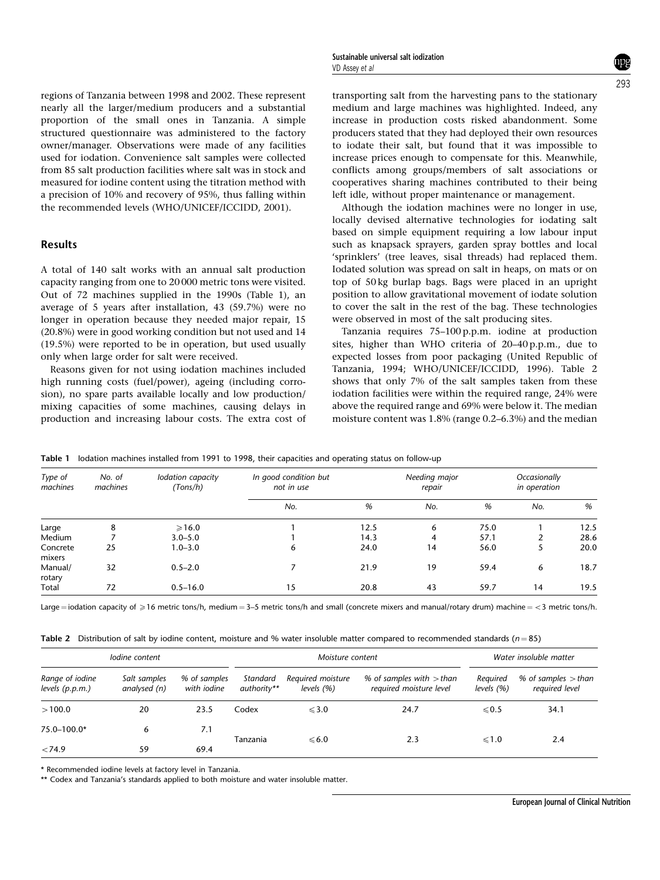regions of Tanzania between 1998 and 2002. These represent nearly all the larger/medium producers and a substantial proportion of the small ones in Tanzania. A simple structured questionnaire was administered to the factory owner/manager. Observations were made of any facilities used for iodation. Convenience salt samples were collected from 85 salt production facilities where salt was in stock and measured for iodine content using the titration method with a precision of 10% and recovery of 95%, thus falling within the recommended levels (WHO/UNICEF/ICCIDD, 2001).

## Results

A total of 140 salt works with an annual salt production capacity ranging from one to 20 000 metric tons were visited. Out of 72 machines supplied in the 1990s (Table 1), an average of 5 years after installation, 43 (59.7%) were no longer in operation because they needed major repair, 15 (20.8%) were in good working condition but not used and 14 (19.5%) were reported to be in operation, but used usually only when large order for salt were received.

Reasons given for not using iodation machines included high running costs (fuel/power), ageing (including corrosion), no spare parts available locally and low production/ mixing capacities of some machines, causing delays in production and increasing labour costs. The extra cost of transporting salt from the harvesting pans to the stationary medium and large machines was highlighted. Indeed, any increase in production costs risked abandonment. Some producers stated that they had deployed their own resources to iodate their salt, but found that it was impossible to increase prices enough to compensate for this. Meanwhile, conflicts among groups/members of salt associations or cooperatives sharing machines contributed to their being left idle, without proper maintenance or management.

Although the iodation machines were no longer in use, locally devised alternative technologies for iodating salt based on simple equipment requiring a low labour input such as knapsack sprayers, garden spray bottles and local 'sprinklers' (tree leaves, sisal threads) had replaced them. Iodated solution was spread on salt in heaps, on mats or on top of 50 kg burlap bags. Bags were placed in an upright position to allow gravitational movement of iodate solution to cover the salt in the rest of the bag. These technologies were observed in most of the salt producing sites.

Tanzania requires 75–100 p.p.m. iodine at production sites, higher than WHO criteria of 20–40 p.p.m., due to expected losses from poor packaging (United Republic of Tanzania, 1994; WHO/UNICEF/ICCIDD, 1996). Table 2 shows that only 7% of the salt samples taken from these iodation facilities were within the required range, 24% were above the required range and 69% were below it. The median moisture content was 1.8% (range 0.2–6.3%) and the median

| Type of<br>machines | No. of<br>machines | Iodation capacity<br>(Tons/h) | In good condition but<br>not in use |      | Needing major<br>repair | Occasionally<br>in operation |     |      |
|---------------------|--------------------|-------------------------------|-------------------------------------|------|-------------------------|------------------------------|-----|------|
|                     |                    |                               | No.                                 | %    | No.                     | %                            | No. | %    |
| Large               | 8                  | $\geqslant$ 16.0              |                                     | 12.5 | 6                       | 75.0                         |     | 12.5 |
| Medium              |                    | $3.0 - 5.0$                   |                                     | 14.3 | 4                       | 57.1                         |     | 28.6 |
| Concrete<br>mixers  | 25                 | $1.0 - 3.0$                   | 6                                   | 24.0 | 14                      | 56.0                         |     | 20.0 |
| Manual/<br>rotary   | 32                 | $0.5 - 2.0$                   |                                     | 21.9 | 19                      | 59.4                         | 6   | 18.7 |
| Total               | 72                 | $0.5 - 16.0$                  | 15                                  | 20.8 | 43                      | 59.7                         | 14  | 19.5 |

Table 1 Iodation machines installed from 1991 to 1998, their capacities and operating status on follow-up

Large = iodation capacity of  $\geqslant 16$  metric tons/h, medium = 3–5 metric tons/h and small (concrete mixers and manual/rotary drum) machine = <3 metric tons/h.

Table 2 Distribution of salt by iodine content, moisture and % water insoluble matter compared to recommended standards ( $n = 85$ )

|                                    | lodine content               |                                    | Moisture content        |                                    |                                                       | Water insoluble matter    |                                         |
|------------------------------------|------------------------------|------------------------------------|-------------------------|------------------------------------|-------------------------------------------------------|---------------------------|-----------------------------------------|
| Range of iodine<br>levels (p.p.m.) | Salt samples<br>analysed (n) | % of samples<br>with <i>iodine</i> | Standard<br>authority** | Required moisture<br>levels $(% )$ | % of samples with $>$ than<br>required moisture level | Required<br>levels $(% )$ | % of samples $>$ than<br>required level |
| >100.0                             | 20                           | 23.5                               | Codex                   | $\leqslant$ 3.0                    | 24.7                                                  | $\le 0.5$                 | 34.1                                    |
| 75.0-100.0*                        | 6                            | 7.1                                | Tanzania                | $\leqslant 6.0$                    | 2.3                                                   | $\leq 1.0$                | 2.4                                     |
| < 74.9                             | 59                           | 69.4                               |                         |                                    |                                                       |                           |                                         |

\* Recommended iodine levels at factory level in Tanzania.

\*\* Codex and Tanzania's standards applied to both moisture and water insoluble matter.